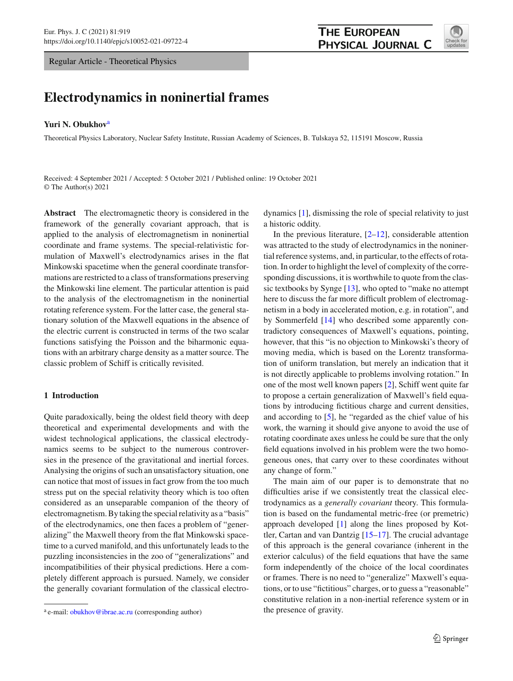Regular Article - Theoretical Physics

# **Electrodynamics in noninertial frames**

## **Yuri N. Obukhov**<sup>a</sup>

Theoretical Physics Laboratory, Nuclear Safety Institute, Russian Academy of Sciences, B. Tulskaya 52, 115191 Moscow, Russia

Received: 4 September 2021 / Accepted: 5 October 2021 / Published online: 19 October 2021 © The Author(s) 2021

**Abstract** The electromagnetic theory is considered in the framework of the generally covariant approach, that is applied to the analysis of electromagnetism in noninertial coordinate and frame systems. The special-relativistic formulation of Maxwell's electrodynamics arises in the flat Minkowski spacetime when the general coordinate transformations are restricted to a class of transformations preserving the Minkowski line element. The particular attention is paid to the analysis of the electromagnetism in the noninertial rotating reference system. For the latter case, the general stationary solution of the Maxwell equations in the absence of the electric current is constructed in terms of the two scalar functions satisfying the Poisson and the biharmonic equations with an arbitrary charge density as a matter source. The classic problem of Schiff is critically revisited.

## **1 Introduction**

Quite paradoxically, being the oldest field theory with deep theoretical and experimental developments and with the widest technological applications, the classical electrodynamics seems to be subject to the numerous controversies in the presence of the gravitational and inertial forces. Analysing the origins of such an unsatisfactory situation, one can notice that most of issues in fact grow from the too much stress put on the special relativity theory which is too often considered as an unseparable companion of the theory of electromagnetism. By taking the special relativity as a "basis" of the electrodynamics, one then faces a problem of "generalizing" the Maxwell theory from the flat Minkowski spacetime to a curved manifold, and this unfortunately leads to the puzzling inconsistencies in the zoo of "generalizations" and incompatibilities of their physical predictions. Here a completely different approach is pursued. Namely, we consider the generally covariant formulation of the classical electrodynamics [\[1](#page-9-0)], dismissing the role of special relativity to just a historic oddity.

In the previous literature,  $[2-12]$  $[2-12]$ , considerable attention was attracted to the study of electrodynamics in the noninertial reference systems, and, in particular, to the effects of rotation. In order to highlight the level of complexity of the corresponding discussions, it is worthwhile to quote from the classic textbooks by Synge [\[13\]](#page-9-3), who opted to "make no attempt here to discuss the far more difficult problem of electromagnetism in a body in accelerated motion, e.g. in rotation", and by Sommerfeld [\[14](#page-9-4)] who described some apparently contradictory consequences of Maxwell's equations, pointing, however, that this "is no objection to Minkowski's theory of moving media, which is based on the Lorentz transformation of uniform translation, but merely an indication that it is not directly applicable to problems involving rotation." In one of the most well known papers [\[2\]](#page-9-1), Schiff went quite far to propose a certain generalization of Maxwell's field equations by introducing fictitious charge and current densities, and according to [\[5\]](#page-9-5), he "regarded as the chief value of his work, the warning it should give anyone to avoid the use of rotating coordinate axes unless he could be sure that the only field equations involved in his problem were the two homogeneous ones, that carry over to these coordinates without any change of form."

The main aim of our paper is to demonstrate that no difficulties arise if we consistently treat the classical electrodynamics as a *generally covariant* theory. This formulation is based on the fundamental metric-free (or premetric) approach developed [\[1](#page-9-0)] along the lines proposed by Kottler, Cartan and van Dantzig [\[15](#page-9-6)[–17](#page-9-7)]. The crucial advantage of this approach is the general covariance (inherent in the exterior calculus) of the field equations that have the same form independently of the choice of the local coordinates or frames. There is no need to "generalize" Maxwell's equations, or to use "fictitious" charges, or to guess a "reasonable" constitutive relation in a non-inertial reference system or in the presence of gravity.



<sup>&</sup>lt;sup>a</sup> e-mail: [obukhov@ibrae.ac.ru](mailto:obukhov@ibrae.ac.ru) (corresponding author)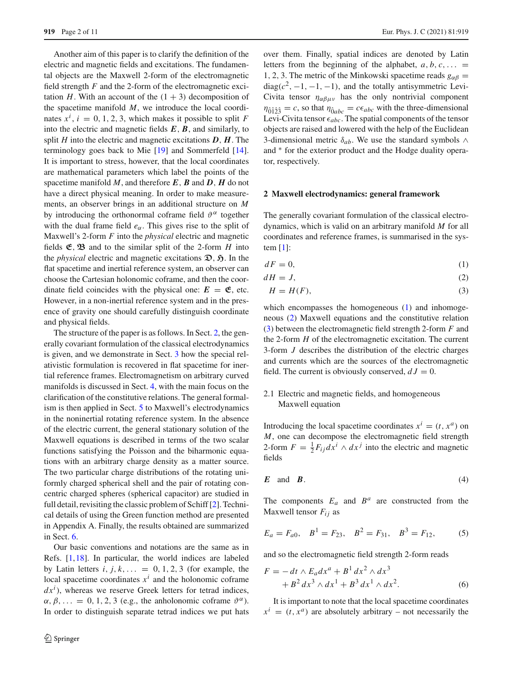Another aim of this paper is to clarify the definition of the electric and magnetic fields and excitations. The fundamental objects are the Maxwell 2-form of the electromagnetic field strength *F* and the 2-form of the electromagnetic excitation *H*. With an account of the  $(1 + 3)$  decomposition of the spacetime manifold *M*, we introduce the local coordinates  $x^i$ ,  $i = 0, 1, 2, 3$ , which makes it possible to split *F* into the electric and magnetic fields  $E$ ,  $B$ , and similarly, to split *H* into the electric and magnetic excitations *D*, *H*. The terminology goes back to Mie [\[19](#page-9-8)] and Sommerfeld [\[14](#page-9-4)]. It is important to stress, however, that the local coordinates are mathematical parameters which label the points of the spacetime manifold *M*, and therefore *E*, *B* and *D*, *H* do not have a direct physical meaning. In order to make measurements, an observer brings in an additional structure on *M* by introducing the orthonormal coframe field  $\vartheta^{\alpha}$  together with the dual frame field  $e_{\alpha}$ . This gives rise to the split of Maxwell's 2-form *F* into the *physical* electric and magnetic fields  $\mathfrak{E}, \mathfrak{B}$  and to the similar split of the 2-form *H* into the *physical* electric and magnetic excitations  $\mathfrak{D}, \mathfrak{H}$ . In the flat spacetime and inertial reference system, an observer can choose the Cartesian holonomic coframe, and then the coordinate field coincides with the physical one:  $E = \mathfrak{E}$ , etc. However, in a non-inertial reference system and in the presence of gravity one should carefully distinguish coordinate and physical fields.

The structure of the paper is as follows. In Sect. [2,](#page-1-0) the generally covariant formulation of the classical electrodynamics is given, and we demonstrate in Sect. [3](#page-3-0) how the special relativistic formulation is recovered in flat spacetime for inertial reference frames. Electromagnetism on arbitrary curved manifolds is discussed in Sect. [4,](#page-4-0) with the main focus on the clarification of the constitutive relations. The general formalism is then applied in Sect. [5](#page-5-0) to Maxwell's electrodynamics in the noninertial rotating reference system. In the absence of the electric current, the general stationary solution of the Maxwell equations is described in terms of the two scalar functions satisfying the Poisson and the biharmonic equations with an arbitrary charge density as a matter source. The two particular charge distributions of the rotating uniformly charged spherical shell and the pair of rotating concentric charged spheres (spherical capacitor) are studied in full detail, revisiting the classic problem of Schiff [\[2\]](#page-9-1). Technical details of using the Green function method are presented in Appendix A. Finally, the results obtained are summarized in Sect. [6.](#page-8-0)

Our basic conventions and notations are the same as in Refs. [\[1,](#page-9-0)[18\]](#page-9-9). In particular, the world indices are labeled by Latin letters  $i, j, k, \ldots = 0, 1, 2, 3$  (for example, the local spacetime coordinates  $x^i$  and the holonomic coframe  $dx^{i}$ ), whereas we reserve Greek letters for tetrad indices,  $\alpha, \beta, \ldots = 0, 1, 2, 3$  (e.g., the anholonomic coframe  $\vartheta^{\alpha}$ ). In order to distinguish separate tetrad indices we put hats over them. Finally, spatial indices are denoted by Latin letters from the beginning of the alphabet,  $a, b, c, \ldots$ 1, 2, 3. The metric of the Minkowski spacetime reads  $g_{\alpha\beta} =$  $diag(c^2, -1, -1, -1)$ , and the totally antisymmetric Levi-Civita tensor  $\eta_{\alpha\beta\mu\nu}$  has the only nontrivial component  $\eta_{\hat{0}\hat{1}\hat{2}\hat{3}} = c$ , so that  $\eta_{\hat{0}abc} = c\epsilon_{abc}$  with the three-dimensional Levi-Civita tensor  $\epsilon_{abc}$ . The spatial components of the tensor objects are raised and lowered with the help of the Euclidean 3-dimensional metric  $\delta_{ab}$ . We use the standard symbols ∧ and  $*$  for the exterior product and the Hodge duality operator, respectively.

#### <span id="page-1-0"></span>**2 Maxwell electrodynamics: general framework**

The generally covariant formulation of the classical electrodynamics, which is valid on an arbitrary manifold *M* for all coordinates and reference frames, is summarised in the system  $[1]$ :

<span id="page-1-1"></span>
$$
dF = 0,\t\t(1)
$$

 $dH = J$ , (2)

$$
H = H(F),\tag{3}
$$

which encompasses the homogeneous [\(1\)](#page-1-1) and inhomogeneous [\(2\)](#page-1-1) Maxwell equations and the constitutive relation [\(3\)](#page-1-1) between the electromagnetic field strength 2-form *F* and the 2-form *H* of the electromagnetic excitation. The current 3-form *J* describes the distribution of the electric charges and currents which are the sources of the electromagnetic field. The current is obviously conserved,  $dJ = 0$ .

## 2.1 Electric and magnetic fields, and homogeneous Maxwell equation

Introducing the local spacetime coordinates  $x^i = (t, x^a)$  on *M*, one can decompose the electromagnetic field strength 2-form  $F = \frac{1}{2}F_{ij}dx^{i} \wedge dx^{j}$  into the electric and magnetic fields

$$
E \quad \text{and} \quad B. \tag{4}
$$

<span id="page-1-3"></span>The components  $E_a$  and  $B^a$  are constructed from the Maxwell tensor  $F_{ij}$  as

$$
E_a = F_{a0}, \quad B^1 = F_{23}, \quad B^2 = F_{31}, \quad B^3 = F_{12}, \tag{5}
$$

and so the electromagnetic field strength 2-form reads

<span id="page-1-2"></span>
$$
F = -dt \wedge E_d dx^a + B^1 dx^2 \wedge dx^3
$$
  
+ 
$$
B^2 dx^3 \wedge dx^1 + B^3 dx^1 \wedge dx^2.
$$
 (6)

It is important to note that the local spacetime coordinates  $x^{i} = (t, x^{a})$  are absolutely arbitrary – not necessarily the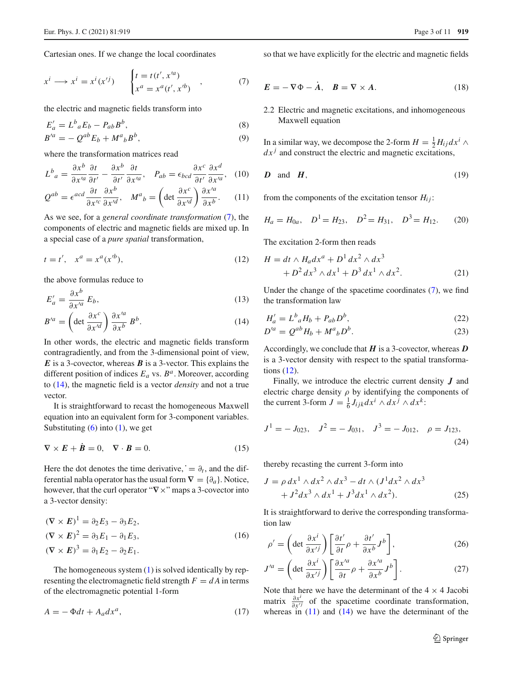Cartesian ones. If we change the local coordinates

$$
x^{i} \longrightarrow x^{i} = x^{i}(x^{\prime j}) \qquad \begin{cases} t = t(t^{\prime}, x^{\prime a}) \\ x^{a} = x^{a}(t^{\prime}, x^{\prime b}) \end{cases} , \tag{7}
$$

the electric and magnetic fields transform into

<span id="page-2-8"></span>
$$
E'_{a} = L^{b}{}_{a}E_{b} - P_{ab}B^{b},
$$
  
\n
$$
B'^{a} = -Q^{ab}E_{b} + M^{a}{}_{b}B^{b},
$$
\n(8)

where the transformation matrices read

<span id="page-2-3"></span>
$$
L^b{}_a = \frac{\partial x^b}{\partial x'^a} \frac{\partial t}{\partial t'} - \frac{\partial x^b}{\partial t'} \frac{\partial t}{\partial x'^a}, \quad P_{ab} = \epsilon_{bcd} \frac{\partial x^c}{\partial t'} \frac{\partial x^d}{\partial x'^a}, \quad (10)
$$

$$
Q^{ab} = \epsilon^{acd} \frac{\partial t}{\partial x'^c} \frac{\partial x^b}{\partial x'^d}, \quad M^a{}_b = \left(\det \frac{\partial x^c}{\partial x'^d}\right) \frac{\partial x'^a}{\partial x^b}.
$$
 (11)

As we see, for a *general coordinate transformation* [\(7\)](#page-2-0), the components of electric and magnetic fields are mixed up. In a special case of a *pure spatial* transformation,

$$
t = t', \quad x^a = x^a(x^{b}), \tag{12}
$$

the above formulas reduce to

<span id="page-2-1"></span>
$$
E'_a = \frac{\partial x^b}{\partial x'^a} E_b,\tag{13}
$$

$$
B^{\prime a} = \left(\det \frac{\partial x^c}{\partial x^{\prime d}}\right) \frac{\partial x^{\prime a}}{\partial x^b} B^b. \tag{14}
$$

In other words, the electric and magnetic fields transform contragradiently, and from the 3-dimensional point of view, *E* is a 3-covector, whereas *B* is a 3-vector. This explains the different position of indices  $E_a$  vs.  $B^a$ . Moreover, according to [\(14\)](#page-2-1), the magnetic field is a vector *density* and not a true vector.

<span id="page-2-6"></span>It is straightforward to recast the homogeneous Maxwell equation into an equivalent form for 3-component variables. Substituting  $(6)$  into  $(1)$ , we get

$$
\nabla \times \mathbf{E} + \dot{\mathbf{B}} = 0, \quad \nabla \cdot \mathbf{B} = 0.
$$
 (15)

Here the dot denotes the time derivative,  $\dot{\theta}_t$ , and the differential nabla operator has the usual form  $\nabla = {\partial_a}$ . Notice, however, that the curl operator "**∇**×" maps a 3-covector into a 3-vector density:

$$
(\nabla \times \mathbf{E})^1 = \partial_2 E_3 - \partial_3 E_2,
$$
  
\n
$$
(\nabla \times \mathbf{E})^2 = \partial_3 E_1 - \partial_1 E_3,
$$
  
\n
$$
(\nabla \times \mathbf{E})^3 = \partial_1 E_2 - \partial_2 E_1.
$$
\n(16)

The homogeneous system  $(1)$  is solved identically by representing the electromagnetic field strength  $F = dA$  in terms of the electromagnetic potential 1-form

$$
A = -\Phi dt + A_a dx^a, \qquad (17)
$$

<span id="page-2-9"></span><span id="page-2-0"></span>so that we have explicitly for the electric and magnetic fields

$$
E = -\nabla \Phi - \dot{A}, \quad B = \nabla \times A. \tag{18}
$$

2.2 Electric and magnetic excitations, and inhomogeneous Maxwell equation

In a similar way, we decompose the 2-form  $H = \frac{1}{2} H_{ij} dx^i \wedge$  $dx^{j}$  and construct the electric and magnetic excitations,

$$
D \quad \text{and} \quad H, \tag{19}
$$

<span id="page-2-7"></span>from the components of the excitation tensor  $H_{ij}$ :

$$
H_a = H_{0a}, \quad D^1 = H_{23}, \quad D^2 = H_{31}, \quad D^3 = H_{12}.\tag{20}
$$

<span id="page-2-2"></span>The excitation 2-form then reads

<span id="page-2-4"></span>
$$
H = dt \wedge H_a dx^a + D^1 dx^2 \wedge dx^3
$$
  
+ 
$$
D^2 dx^3 \wedge dx^1 + D^3 dx^1 \wedge dx^2.
$$
 (21)

Under the change of the spacetime coordinates [\(7\)](#page-2-0), we find the transformation law

<span id="page-2-10"></span>
$$
H'_a = L^b{}_a H_b + P_{ab} D^b,\tag{22}
$$

$$
D^{\prime a} = Q^{ab} H_b + M^a{}_b D^b. \tag{23}
$$

Accordingly, we conclude that *H* is a 3-covector, whereas *D* is a 3-vector density with respect to the spatial transformations [\(12\)](#page-2-2).

Finally, we introduce the electric current density *J* and electric charge density  $\rho$  by identifying the components of the current 3-form  $J = \frac{1}{6} J_{ijk} dx^i \wedge dx^j \wedge dx^k$ :

$$
J^1 = -J_{023}
$$
,  $J^2 = -J_{031}$ ,  $J^3 = -J_{012}$ ,  $\rho = J_{123}$ , (24)

thereby recasting the current 3-form into

<span id="page-2-5"></span>
$$
J = \rho \, dx^1 \wedge dx^2 \wedge dx^3 - dt \wedge (J^1 dx^2 \wedge dx^3 + J^2 dx^3 \wedge dx^1 + J^3 dx^1 \wedge dx^2).
$$
 (25)

It is straightforward to derive the corresponding transformation law

<span id="page-2-11"></span>
$$
\rho' = \left(\det \frac{\partial x^i}{\partial x'^j}\right) \left[\frac{\partial t'}{\partial t}\rho + \frac{\partial t'}{\partial x^b}J^b\right],\tag{26}
$$

$$
J'^a = \left(\det \frac{\partial x^i}{\partial x'^j}\right) \left[\frac{\partial x'^a}{\partial t} \rho + \frac{\partial x'^a}{\partial x^b} J^b\right].\tag{27}
$$

Note that here we have the determinant of the  $4 \times 4$  Jacobi matrix  $\frac{\partial x^i}{\partial x'^j}$  of the spacetime coordinate transformation, whereas in  $(11)$  and  $(14)$  we have the determinant of the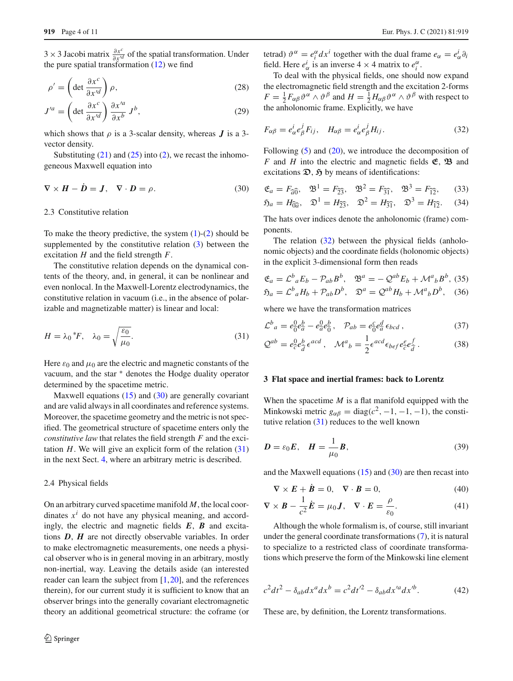<sup>3</sup>×3 Jacobi matrix <sup>∂</sup>*x<sup>c</sup>* <sup>∂</sup>*x<sup>d</sup>* of the spatial transformation. Under the pure spatial transformation  $(12)$  we find

$$
\rho' = \left(\det \frac{\partial x^c}{\partial x'^d}\right)\rho,\tag{28}
$$

$$
J'^a = \left(\det \frac{\partial x^c}{\partial x'^d}\right) \frac{\partial x'^a}{\partial x^b} J^b,\tag{29}
$$

which shows that  $\rho$  is a 3-scalar density, whereas  $\bm{J}$  is a 3vector density.

Substituting  $(21)$  and  $(25)$  into  $(2)$ , we recast the inhomogeneous Maxwell equation into

$$
\nabla \times \mathbf{H} - \mathbf{D} = \mathbf{J}, \quad \nabla \cdot \mathbf{D} = \rho. \tag{30}
$$

## 2.3 Constitutive relation

To make the theory predictive, the system  $(1)-(2)$  $(1)-(2)$  $(1)-(2)$  should be supplemented by the constitutive relation [\(3\)](#page-1-1) between the excitation *H* and the field strength *F*.

The constitutive relation depends on the dynamical contents of the theory, and, in general, it can be nonlinear and even nonlocal. In the Maxwell-Lorentz electrodynamics, the constitutive relation in vacuum (i.e., in the absence of polarizable and magnetizable matter) is linear and local:

$$
H = \lambda_0 \, {}^*F, \quad \lambda_0 = \sqrt{\frac{\varepsilon_0}{\mu_0}}. \tag{31}
$$

Here  $\varepsilon_0$  and  $\mu_0$  are the electric and magnetic constants of the vacuum, and the star ∗ denotes the Hodge duality operator determined by the spacetime metric.

Maxwell equations  $(15)$  and  $(30)$  are generally covariant and are valid always in all coordinates and reference systems. Moreover, the spacetime geometry and the metric is not specified. The geometrical structure of spacetime enters only the *constitutive law* that relates the field strength *F* and the excitation  $H$ . We will give an explicit form of the relation  $(31)$ in the next Sect. [4,](#page-4-0) where an arbitrary metric is described.

#### 2.4 Physical fields

On an arbitrary curved spacetime manifold *M*, the local coordinates  $x^i$  do not have any physical meaning, and accordingly, the electric and magnetic fields *E*, *B* and excitations *D*, *H* are not directly observable variables. In order to make electromagnetic measurements, one needs a physical observer who is in general moving in an arbitrary, mostly non-inertial, way. Leaving the details aside (an interested reader can learn the subject from  $[1,20]$  $[1,20]$  $[1,20]$ , and the references therein), for our current study it is sufficient to know that an observer brings into the generally covariant electromagnetic theory an additional geometrical structure: the coframe (or tetrad)  $\vartheta^{\alpha} = e_i^{\alpha} dx^i$  together with the dual frame  $e_{\alpha} = e_{\alpha}^i \partial_i$ field. Here  $e^i_\alpha$  is an inverse  $4 \times 4$  matrix to  $e_i^\alpha$ .

To deal with the physical fields, one should now expand the electromagnetic field strength and the excitation 2-forms  $F = \frac{1}{2} F_{\alpha\beta} \vartheta^{\alpha} \wedge \vartheta^{\beta}$  and  $H = \frac{1}{2} H_{\alpha\beta} \vartheta^{\alpha} \wedge \vartheta^{\beta}$  with respect to the anholonomic frame. Explicitly, we have

<span id="page-3-3"></span>
$$
F_{\alpha\beta} = e^i_{\alpha} e^j_{\beta} F_{ij}, \quad H_{\alpha\beta} = e^i_{\alpha} e^j_{\beta} H_{ij}.
$$
 (32)

<span id="page-3-1"></span>Following [\(5\)](#page-1-3) and [\(20\)](#page-2-7), we introduce the decomposition of *F* and *H* into the electric and magnetic fields **E**, **B** and excitations  $\mathfrak{D}, \mathfrak{H}$  by means of identifications:

$$
\mathfrak{E}_a = F_{\widehat{a}\widehat{0}}, \quad \mathfrak{B}^1 = F_{\widehat{2}\widehat{3}}, \quad \mathfrak{B}^2 = F_{\widehat{3}\widehat{1}}, \quad \mathfrak{B}^3 = F_{\widehat{1}\widehat{2}}, \tag{33}
$$

$$
\mathfrak{H}_a = H_{\widehat{0}a}, \quad \mathfrak{D}^1 = H_{\widehat{23}}, \quad \mathfrak{D}^2 = H_{\widehat{31}}, \quad \mathfrak{D}^3 = H_{\widehat{12}}.\tag{34}
$$

The hats over indices denote the anholonomic (frame) components.

The relation [\(32\)](#page-3-3) between the physical fields (anholonomic objects) and the coordinate fields (holonomic objects) in the explicit 3-dimensional form then reads

<span id="page-3-6"></span>
$$
\mathfrak{E}_a = \mathcal{L}^b{}_a E_b - \mathcal{P}_{ab} B^b, \quad \mathfrak{B}^a = -\mathcal{Q}^{ab} E_b + \mathcal{M}^a{}_b B^b, \tag{35}
$$
  

$$
\mathfrak{H}_a = \mathcal{L}^b{}_a H_b + \mathcal{P}_{ab} D^b, \quad \mathfrak{D}^a = \mathcal{Q}^{ab} H_b + \mathcal{M}^a{}_b D^b, \tag{36}
$$

<span id="page-3-2"></span>where we have the transformation matrices

<span id="page-3-7"></span>
$$
\mathcal{L}^{b}{}_{a} = e_{0}^{0} e_{a}^{b} - e_{a}^{0} e_{0}^{b}, \quad \mathcal{P}_{ab} = e_{0}^{c} e_{a}^{d} \epsilon_{bcd}, \tag{37}
$$

$$
\mathcal{Q}^{ab} = e^0_c e^b_{\hat{d}} \epsilon^{acd} , \quad \mathcal{M}^a{}_b = \frac{1}{2} \epsilon^{acd} \epsilon_{bef} e^e_{\hat{c}} e^f_{\hat{d}} . \tag{38}
$$

## <span id="page-3-0"></span>**3 Flat space and inertial frames: back to Lorentz**

<span id="page-3-5"></span>When the spacetime *M* is a flat manifold equipped with the Minkowski metric  $g_{\alpha\beta} = \text{diag}(c^2, -1, -1, -1)$ , the constitutive relation [\(31\)](#page-3-2) reduces to the well known

$$
D = \varepsilon_0 E, \quad H = \frac{1}{\mu_0} B,\tag{39}
$$

and the Maxwell equations  $(15)$  and  $(30)$  are then recast into

$$
\nabla \times \mathbf{E} + \dot{\mathbf{B}} = 0, \quad \nabla \cdot \mathbf{B} = 0,
$$
\n(40)

$$
\nabla \times \boldsymbol{B} - \frac{1}{c^2} \dot{\boldsymbol{E}} = \mu_0 \boldsymbol{J}, \quad \nabla \cdot \boldsymbol{E} = \frac{\rho}{\varepsilon_0}.
$$
 (41)

Although the whole formalism is, of course, still invariant under the general coordinate transformations [\(7\)](#page-2-0), it is natural to specialize to a restricted class of coordinate transformations which preserve the form of the Minkowski line element

<span id="page-3-4"></span>
$$
c^{2}dt^{2} - \delta_{ab}dx^{a}dx^{b} = c^{2}dt^{2} - \delta_{ab}dx'^{a}dx'^{b}.
$$
 (42)

These are, by definition, the Lorentz transformations.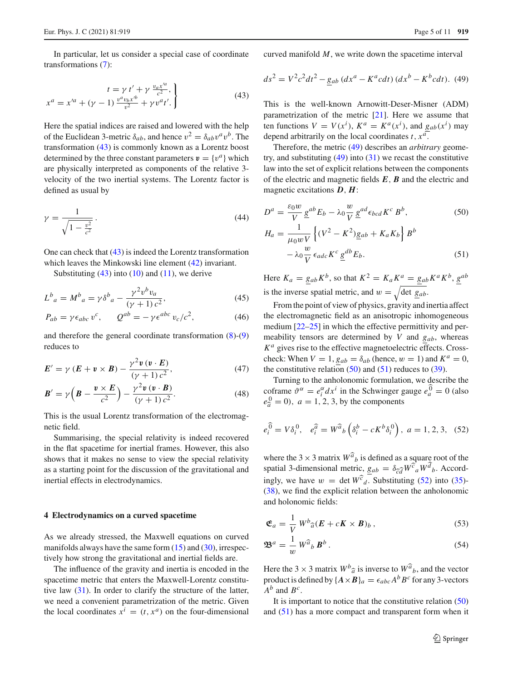<span id="page-4-1"></span>In particular, let us consider a special case of coordinate transformations [\(7\)](#page-2-0):

$$
t = \gamma t' + \gamma \frac{v_a x'^a}{c^2},
$$
  

$$
x^a = x'^a + (\gamma - 1) \frac{v^a v_b x'^b}{v^2} + \gamma v^a t'.
$$
 (43)

Here the spatial indices are raised and lowered with the help of the Euclidean 3-metric  $\delta_{ab}$ , and hence  $v^2 = \delta_{ab}v^a v^b$ . The transformation [\(43\)](#page-4-1) is commonly known as a Lorentz boost determined by the three constant parameters  $v = \{v^a\}$  which are physically interpreted as components of the relative 3 velocity of the two inertial systems. The Lorentz factor is defined as usual by

$$
\gamma = \frac{1}{\sqrt{1 - \frac{v^2}{c^2}}}.
$$
\n(44)

One can check that [\(43\)](#page-4-1) is indeed the Lorentz transformation which leaves the Minkowski line element [\(42\)](#page-3-4) invariant.

Substituting  $(43)$  into  $(10)$  and  $(11)$ , we derive

$$
L^{b}{}_{a} = M^{b}{}_{a} = \gamma \delta^{b}{}_{a} - \frac{\gamma^{2} v^{b} v_{a}}{(\gamma + 1) c^{2}},
$$
\n(45)

$$
P_{ab} = \gamma \epsilon_{abc} v^c, \qquad Q^{ab} = -\gamma \epsilon^{abc} v_c/c^2,
$$
 (46)

and therefore the general coordinate transformation [\(8\)](#page-2-8)-[\(9\)](#page-2-8) reduces to

<span id="page-4-6"></span>
$$
E' = \gamma (E + v \times B) - \frac{\gamma^2 v (v \cdot E)}{(\gamma + 1) c^2},
$$
\n(47)

$$
\boldsymbol{B}' = \gamma \left( \boldsymbol{B} - \frac{\boldsymbol{v} \times \boldsymbol{E}}{c^2} \right) - \frac{\gamma^2 \boldsymbol{v} \left( \boldsymbol{v} \cdot \boldsymbol{B} \right)}{(\gamma + 1) c^2}.
$$
 (48)

This is the usual Lorentz transformation of the electromagnetic field.

Summarising, the special relativity is indeed recovered in the flat spacetime for inertial frames. However, this also shows that it makes no sense to view the special relativity as a starting point for the discussion of the gravitational and inertial effects in electrodynamics.

## <span id="page-4-0"></span>**4 Electrodynamics on a curved spacetime**

As we already stressed, the Maxwell equations on curved manifolds always have the same form  $(15)$  and  $(30)$ , irrespectively how strong the gravitational and inertial fields are.

The influence of the gravity and inertia is encoded in the spacetime metric that enters the Maxwell-Lorentz constitutive law [\(31\)](#page-3-2). In order to clarify the structure of the latter, we need a convenient parametrization of the metric. Given the local coordinates  $x^i = (t, x^a)$  on the four-dimensional <span id="page-4-2"></span>curved manifold *M*, we write down the spacetime interval

$$
ds^{2} = V^{2}c^{2}dt^{2} - g_{ab}(dx^{a} - K^{a}cdt)(dx^{b} - K^{b}cdt).
$$
 (49)

This is the well-known Arnowitt-Deser-Misner (ADM) parametrization of the metric [\[21\]](#page-9-11). Here we assume that ten functions  $V = V(x^i)$ ,  $K^a = K^a(x^i)$ , and  $g_{ab}(x^i)$  may depend arbitrarily on the local coordinates  $t$ ,  $x^a$ .

Therefore, the metric [\(49\)](#page-4-2) describes an *arbitrary* geometry, and substituting  $(49)$  into  $(31)$  we recast the constitutive law into the set of explicit relations between the components of the electric and magnetic fields *E*, *B* and the electric and magnetic excitations *D*, *H*:

<span id="page-4-3"></span>
$$
D^{a} = \frac{\varepsilon_{0} w}{V} \underline{g}^{ab} E_{b} - \lambda_{0} \frac{w}{V} \underline{g}^{ad} \epsilon_{bcd} K^{c} B^{b}, \qquad (50)
$$

$$
H_a = \frac{1}{\mu_0 w V} \left\{ (V^2 - K^2) g_{ab} + K_a K_b \right\} B^b
$$

$$
- \lambda_0 \frac{w}{V} \epsilon_{adc} K^c \underline{g}^{db} E_b.
$$
(51)

Here  $K_a = g_{ab} K^b$ , so that  $K^2 = K_a K^a = g_{ab} K^a K^b$ ,  $g^{ab}$ is the inverse spatial metric, and  $w = \sqrt{\det g_{ab}}$ .

From the point of view of physics, gravity and inertia affect the electromagnetic field as an anisotropic inhomogeneous medium  $[22-25]$  $[22-25]$  in which the effective permittivity and permeability tensors are determined by *V* and *gab*, whereas *K<sup>a</sup>* gives rise to the effective magnetoelectric effects. Crosscheck: When  $V = 1$ ,  $g_{ab} = \delta_{ab}$  (hence,  $w = 1$ ) and  $K^a = 0$ , the constitutive relation  $(50)$  and  $(51)$  reduces to  $(39)$ .

<span id="page-4-4"></span>Turning to the anholonomic formulation, we describe the coframe  $\vartheta^{\alpha} = e_i^{\alpha} dx^i$  in the Schwinger gauge  $e_a^0 = 0$  (also  $e_{\hat{a}}^{0} = 0$ , *a* = 1, 2, 3, by the components

$$
e_i^{\hat{0}} = V \delta_i^0
$$
,  $e_i^{\hat{a}} = W^{\hat{a}}{}_b \left( \delta_i^b - cK^b \delta_i^0 \right)$ ,  $a = 1, 2, 3$ , (52)

where the 3  $\times$  3 matrix  $W^{\hat{a}}_b$  is defined as a square root of the spatial 3-dimensional metric,  $g_{ab} = \delta_{\widehat{cd}} W^{\widehat{c}}{}_a W^d{}_b$ . Accord-<br> *above we also W<sub>c</sub>* Substituting (52) into (25) ingly, we have  $w = \det W^{\widehat{c}}_d$ . Substituting [\(52\)](#page-4-4) into [\(35\)](#page-3-6)-[\(38\)](#page-3-7), we find the explicit relation between the anholonomic and holonomic fields:

<span id="page-4-5"></span>
$$
\mathfrak{E}_a = \frac{1}{V} W^b \hat{a} (E + cK \times B)_b , \qquad (53)
$$

$$
\mathbf{\mathfrak{B}}^a = \frac{1}{w} W^{\widehat{a}}{}_b \, \mathbf{B}^b \,. \tag{54}
$$

Here the 3  $\times$  3 matrix  $W^b_{\hat{a}}$  is inverse to  $W^{\hat{a}}_b$ , and the vector angles is defined by  $[A \times B]$ product is defined by  $\{A \times B\}_a = \epsilon_{abc} A^b B^c$  for any 3-vectors  $A^b$  and  $B^c$ .

It is important to notice that the constitutive relation [\(50\)](#page-4-3) and [\(51\)](#page-4-3) has a more compact and transparent form when it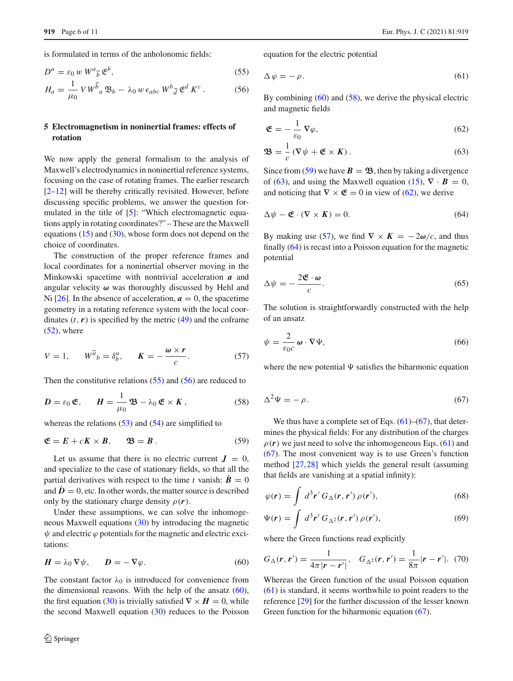is formulated in terms of the anholonomic fields:

<span id="page-5-1"></span>
$$
D^a = \varepsilon_0 w W^a_{\widehat{b}} \mathfrak{E}^b,\tag{55}
$$

$$
H_a = \frac{1}{\mu_0} V W^{\widehat{b}}{}_a \mathfrak{B}_b - \lambda_0 w \,\epsilon_{abc} \, W^b{}_{\widehat{d}} \, \mathfrak{E}^d \, K^c \,. \tag{56}
$$

# <span id="page-5-0"></span>**5 Electromagnetism in noninertial frames: effects of rotation**

We now apply the general formalism to the analysis of Maxwell's electrodynamics in noninertial reference systems, focusing on the case of rotating frames. The earlier research [\[2](#page-9-1)[–12](#page-9-2)] will be thereby critically revisited. However, before discussing specific problems, we answer the question formulated in the title of [\[5\]](#page-9-5): "Which electromagnetic equations apply in rotating coordinates?" – These are the Maxwell equations [\(15\)](#page-2-6) and [\(30\)](#page-3-1), whose form does not depend on the choice of coordinates.

The construction of the proper reference frames and local coordinates for a noninertial observer moving in the Minkowski spacetime with nontrivial acceleration *a* and angular velocity *ω* was thoroughly discussed by Hehl and Ni [\[26](#page-10-1)]. In the absence of acceleration,  $a = 0$ , the spacetime geometry in a rotating reference system with the local coordinates  $(t, r)$  is specified by the metric  $(49)$  and the coframe  $(52)$ , where

<span id="page-5-6"></span>
$$
V = 1, \qquad W^{\widehat{a}}{}_{b} = \delta^{a}_{b}, \qquad K = -\frac{\omega \times r}{c}.
$$
 (57)

Then the constitutive relations [\(55\)](#page-5-1) and [\(56\)](#page-5-1) are reduced to

<span id="page-5-3"></span>
$$
D = \varepsilon_0 \mathfrak{E}, \qquad H = \frac{1}{\mu_0} \mathfrak{B} - \lambda_0 \mathfrak{E} \times K, \qquad (58)
$$

whereas the relations  $(53)$  and  $(54)$  are simplified to

<span id="page-5-4"></span>
$$
\mathfrak{E} = E + cK \times B, \qquad \mathfrak{B} = B. \tag{59}
$$

Let us assume that there is no electric current  $J = 0$ , and specialize to the case of stationary fields, so that all the partial derivatives with respect to the time *t* vanish:  $\dot{B} = 0$ and  $\dot{\bm{D}} = 0$ , etc. In other words, the matter source is described only by the stationary charge density  $\rho(r)$ .

Under these assumptions, we can solve the inhomogeneous Maxwell equations [\(30\)](#page-3-1) by introducing the magnetic  $\psi$  and electric  $\varphi$  potentials for the magnetic and electric excitations:

<span id="page-5-2"></span>
$$
H = \lambda_0 \nabla \psi, \qquad D = -\nabla \varphi. \tag{60}
$$

The constant factor  $\lambda_0$  is introduced for convenience from the dimensional reasons. With the help of the ansatz  $(60)$ , the first equation [\(30\)](#page-3-1) is trivially satisfied  $\nabla \times H = 0$ , while the second Maxwell equation  $(30)$  reduces to the Poisson <span id="page-5-8"></span>equation for the electric potential

$$
\Delta \varphi = -\rho. \tag{61}
$$

By combining [\(60\)](#page-5-2) and [\(58\)](#page-5-3), we derive the physical electric and magnetic fields

<span id="page-5-5"></span>
$$
\mathfrak{E} = -\frac{1}{\varepsilon_0} \nabla \varphi, \tag{62}
$$

$$
\mathfrak{B} = \frac{1}{c} \left( \nabla \psi + \mathfrak{E} \times K \right). \tag{63}
$$

<span id="page-5-7"></span>Since from [\(59\)](#page-5-4) we have  $B = \mathfrak{B}$ , then by taking a divergence of [\(63\)](#page-5-5), and using the Maxwell equation [\(15\)](#page-2-6),  $\nabla \cdot \mathbf{B} = 0$ , and noticing that  $\nabla \times \mathfrak{E} = 0$  in view of [\(62\)](#page-5-5), we derive

$$
\Delta \psi - \mathfrak{E} \cdot (\nabla \times \mathbf{K}) = 0. \tag{64}
$$

<span id="page-5-12"></span>By making use [\(57\)](#page-5-6), we find  $\nabla \times K = -2\omega/c$ , and thus finally [\(64\)](#page-5-7) is recast into a Poisson equation for the magnetic potential

$$
\Delta \psi = -\frac{2\mathfrak{E} \cdot \omega}{c}.\tag{65}
$$

<span id="page-5-11"></span>The solution is straightforwardly constructed with the help of an ansatz

$$
\psi = \frac{2}{\varepsilon_0 c} \,\omega \cdot \nabla \Psi,\tag{66}
$$

<span id="page-5-9"></span>where the new potential  $\Psi$  satisfies the biharmonic equation

$$
\Delta^2 \Psi = -\rho. \tag{67}
$$

We thus have a complete set of Eqs.  $(61)$ – $(67)$ , that determines the physical fields: For any distribution of the charges  $\rho(r)$  we just need to solve the inhomogeneous Eqs. [\(61\)](#page-5-8) and [\(67\)](#page-5-9). The most convenient way is to use Green's function method [\[27](#page-10-2)[,28](#page-10-3)] which yields the general result (assuming that fields are vanishing at a spatial infinity):

<span id="page-5-10"></span>
$$
\varphi(\mathbf{r}) = \int d^3 \mathbf{r}' \, G_{\Delta}(\mathbf{r}, \mathbf{r}') \, \rho(\mathbf{r}'), \tag{68}
$$

$$
\Psi(\mathbf{r}) = \int d^3 \mathbf{r}' G_{\Delta^2}(\mathbf{r}, \mathbf{r}') \rho(\mathbf{r}'), \tag{69}
$$

where the Green functions read explicitly

$$
G_{\Delta}(\mathbf{r}, \mathbf{r}') = \frac{1}{4\pi |\mathbf{r} - \mathbf{r}'|}, \quad G_{\Delta^2}(\mathbf{r}, \mathbf{r}') = \frac{1}{8\pi} |\mathbf{r} - \mathbf{r}'|. \tag{70}
$$

Whereas the Green function of the usual Poisson equation [\(61\)](#page-5-8) is standard, it seems worthwhile to point readers to the reference [\[29\]](#page-10-4) for the further discussion of the lesser known Green function for the biharmonic equation [\(67\)](#page-5-9).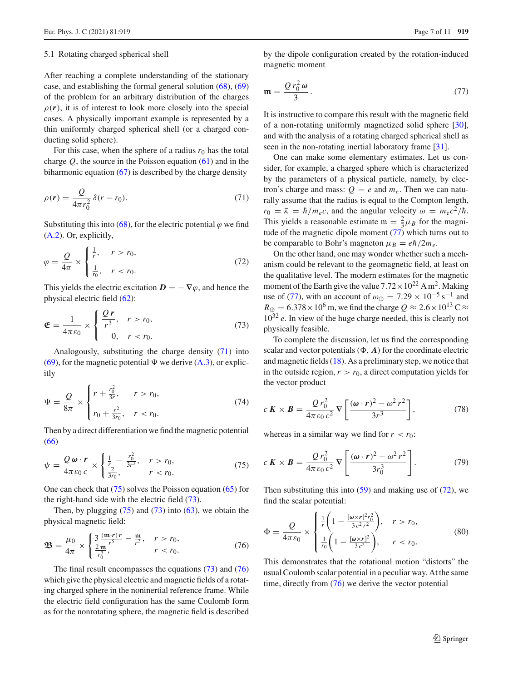#### 5.1 Rotating charged spherical shell

After reaching a complete understanding of the stationary case, and establishing the formal general solution [\(68\)](#page-5-10), [\(69\)](#page-5-10) of the problem for an arbitrary distribution of the charges  $\rho(r)$ , it is of interest to look more closely into the special cases. A physically important example is represented by a thin uniformly charged spherical shell (or a charged conducting solid sphere).

For this case, when the sphere of a radius  $r_0$  has the total charge *Q*, the source in the Poisson equation [\(61\)](#page-5-8) and in the biharmonic equation  $(67)$  is described by the charge density

$$
\rho(r) = \frac{Q}{4\pi r_0^2} \delta(r - r_0). \tag{71}
$$

Substituting this into [\(68\)](#page-5-10), for the electric potential  $\varphi$  we find [\(A.2\)](#page-9-13). Or, explicitly,

<span id="page-6-5"></span>
$$
\varphi = \frac{Q}{4\pi} \times \begin{cases} \frac{1}{r}, & r > r_0, \\ \frac{1}{r_0}, & r < r_0. \end{cases}
$$
\n(72)

This yields the electric excitation  $D = -\nabla \varphi$ , and hence the physical electric field [\(62\)](#page-5-5):

<span id="page-6-2"></span>
$$
\mathfrak{E} = \frac{1}{4\pi\varepsilon_0} \times \begin{cases} \frac{Q\,r}{r^3}, & r > r_0, \\ 0, & r < r_0. \end{cases}
$$
(73)

Analogously, substituting the charge density [\(71\)](#page-6-0) into [\(69\)](#page-5-10), for the magnetic potential  $\Psi$  we derive [\(A.3\)](#page-9-14), or explicitly

$$
\Psi = \frac{Q}{8\pi} \times \begin{cases} r + \frac{r_0^2}{3r}, & r > r_0, \\ r_0 + \frac{r^2}{3r_0}, & r < r_0. \end{cases}
$$
(74)

Then by a direct differentiation we find the magnetic potential [\(66\)](#page-5-11)

<span id="page-6-1"></span>
$$
\psi = \frac{Q \omega \cdot r}{4\pi \varepsilon_0 c} \times \begin{cases} \frac{1}{r} - \frac{r_0^2}{3r^3}, & r > r_0, \\ \frac{2}{3r_0}, & r < r_0. \end{cases}
$$
(75)

One can check that [\(75\)](#page-6-1) solves the Poisson equation [\(65\)](#page-5-12) for the right-hand side with the electric field [\(73\)](#page-6-2).

Then, by plugging  $(75)$  and  $(73)$  into  $(63)$ , we obtain the physical magnetic field:

<span id="page-6-3"></span>
$$
\mathbf{B} = \frac{\mu_0}{4\pi} \times \begin{cases} 3\frac{(\mathbf{m} \cdot r)r}{r^3} - \frac{\mathbf{m}}{r^3}, & r > r_0, \\ \frac{2\mathbf{m}}{r_0^3}, & r < r_0. \end{cases}
$$
(76)

The final result encompasses the equations [\(73\)](#page-6-2) and [\(76\)](#page-6-3) which give the physical electric and magnetic fields of a rotating charged sphere in the noninertial reference frame. While the electric field configuration has the same Coulomb form as for the nonrotating sphere, the magnetic field is described

<span id="page-6-4"></span>by the dipole configuration created by the rotation-induced magnetic moment

$$
\mathfrak{m} = \frac{Q r_0^2 \omega}{3} \,. \tag{77}
$$

It is instructive to compare this result with the magnetic field of a non-rotating uniformly magnetized solid sphere [\[30](#page-10-5)], and with the analysis of a rotating charged spherical shell as seen in the non-rotating inertial laboratory frame [\[31](#page-10-6)].

<span id="page-6-0"></span>One can make some elementary estimates. Let us consider, for example, a charged sphere which is characterized by the parameters of a physical particle, namely, by electron's charge and mass:  $Q = e$  and  $m_e$ . Then we can naturally assume that the radius is equal to the Compton length,  $r_0 = \bar{\lambda} = \hbar/m_e c$ , and the angular velocity  $\omega = m_e c^2/\hbar$ . This yields a reasonable estimate  $m = \frac{2}{3}\mu_B$  for the magnitude of the magnetic dipole moment [\(77\)](#page-6-4) which turns out to be comparable to Bohr's magneton  $\mu_B = e\hbar/2m_e$ .

On the other hand, one may wonder whether such a mechanism could be relevant to the geomagnetic field, at least on the qualitative level. The modern estimates for the magnetic moment of the Earth give the value  $7.72 \times 10^{22}$  A m<sup>2</sup>. Making use of [\(77\)](#page-6-4), with an account of  $\omega_{\oplus} = 7.29 \times 10^{-5} \text{ s}^{-1}$  and  $R_{\oplus} = 6.378 \times 10^6$  m, we find the charge  $Q \approx 2.6 \times 10^{13}$  C  $\approx$ 10<sup>32</sup> *e*. In view of the huge charge needed, this is clearly not physically feasible.

To complete the discussion, let us find the corresponding scalar and vector potentials  $(\Phi, A)$  for the coordinate electric and magnetic fields [\(18\)](#page-2-9). As a preliminary step, we notice that in the outside region,  $r > r_0$ , a direct computation yields for the vector product

<span id="page-6-6"></span>
$$
c\,\boldsymbol{K} \times \boldsymbol{B} = \frac{Q\,r_0^2}{4\pi\,\varepsilon_0\,c^2}\,\nabla\left[\frac{(\boldsymbol{\omega}\cdot\boldsymbol{r})^2 - \omega^2\,r^2}{3r^3}\right],\tag{78}
$$

whereas in a similar way we find for  $r < r_0$ :

$$
c\,\boldsymbol{K} \times \boldsymbol{B} = \frac{Q\,r_0^2}{4\pi\,\varepsilon_0\,c^2}\,\nabla\left[\frac{(\boldsymbol{\omega}\cdot\boldsymbol{r})^2 - \omega^2\,r^2}{3r_0^3}\right].\tag{79}
$$

Then substituting this into  $(59)$  and making use of  $(72)$ , we find the scalar potential:

$$
\Phi = \frac{Q}{4\pi\epsilon_0} \times \begin{cases} \frac{1}{r} \left( 1 - \frac{[\omega \times r]^2 r_0^2}{3c^2 r^2} \right), & r > r_0, \\ \frac{1}{r_0} \left( 1 - \frac{[\omega \times r]^2}{3c^2} \right), & r < r_0. \end{cases}
$$
(80)

This demonstrates that the rotational motion "distorts" the usual Coulomb scalar potential in a peculiar way. At the same time, directly from [\(76\)](#page-6-3) we derive the vector potential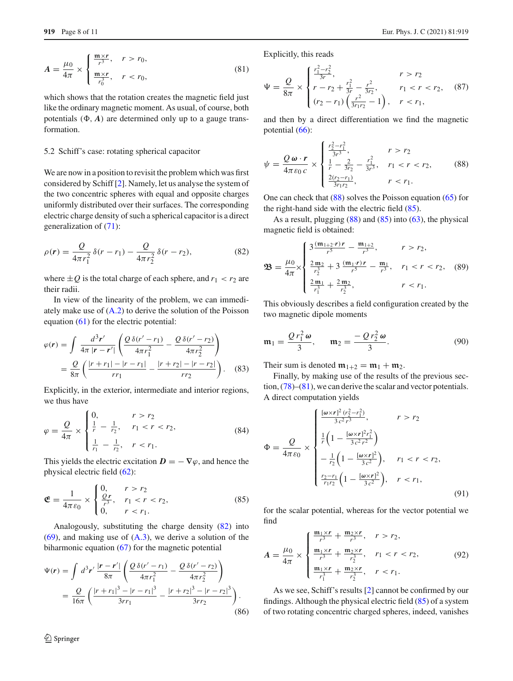<span id="page-7-3"></span>
$$
A = \frac{\mu_0}{4\pi} \times \begin{cases} \frac{\mathfrak{m} \times r}{r^3}, & r > r_0, \\ \frac{\mathfrak{m} \times r}{r_0^3}, & r < r_0, \end{cases}
$$
 (81)

which shows that the rotation creates the magnetic field just like the ordinary magnetic moment. As usual, of course, both potentials  $(\Phi, A)$  are determined only up to a gauge transformation.

#### 5.2 Schiff's case: rotating spherical capacitor

We are now in a position to revisit the problem which was first considered by Schiff [\[2](#page-9-1)]. Namely, let us analyse the system of the two concentric spheres with equal and opposite charges uniformly distributed over their surfaces. The corresponding electric charge density of such a spherical capacitor is a direct generalization of [\(71\)](#page-6-0):

<span id="page-7-0"></span>
$$
\rho(r) = \frac{Q}{4\pi r_1^2} \delta(r - r_1) - \frac{Q}{4\pi r_2^2} \delta(r - r_2),
$$
\n(82)

where  $\pm Q$  is the total charge of each sphere, and  $r_1 < r_2$  are their radii.

In view of the linearity of the problem, we can immediately make use of  $(A.2)$  to derive the solution of the Poisson equation [\(61\)](#page-5-8) for the electric potential:

$$
\varphi(r) = \int \frac{d^3 r'}{4\pi |r - r'|} \left( \frac{Q \,\delta(r' - r_1)}{4\pi r_1^2} - \frac{Q \,\delta(r' - r_2)}{4\pi r_2^2} \right)
$$
  
= 
$$
\frac{Q}{8\pi} \left( \frac{|r + r_1| - |r - r_1|}{rr_1} - \frac{|r + r_2| - |r - r_2|}{rr_2} \right).
$$
 (83)

Explicitly, in the exterior, intermediate and interior regions, we thus have

$$
\varphi = \frac{Q}{4\pi} \times \begin{cases} 0, & r > r_2 \\ \frac{1}{r} - \frac{1}{r_2}, & r_1 < r < r_2, \\ \frac{1}{r_1} - \frac{1}{r_2}, & r < r_1. \end{cases}
$$
(84)

This yields the electric excitation  $D = -\nabla \varphi$ , and hence the physical electric field [\(62\)](#page-5-5):

<span id="page-7-2"></span>
$$
\mathfrak{E} = \frac{1}{4\pi\varepsilon_0} \times \begin{cases} 0, & r > r_2 \\ \frac{Qr}{r^3}, & r_1 < r < r_2, \\ 0, & r < r_1. \end{cases}
$$
(85)

Analogously, substituting the charge density [\(82\)](#page-7-0) into  $(69)$ , and making use of  $(A.3)$ , we derive a solution of the biharmonic equation  $(67)$  for the magnetic potential

$$
\Psi(r) = \int d^3 r' \frac{|r - r'|}{8\pi} \left( \frac{Q \delta(r' - r_1)}{4\pi r_1^2} - \frac{Q \delta(r' - r_2)}{4\pi r_2^2} \right)
$$
  
= 
$$
\frac{Q}{16\pi} \left( \frac{|r + r_1|^3 - |r - r_1|^3}{3rr_1} - \frac{|r + r_2|^3 - |r - r_2|^3}{3rr_2} \right).
$$
(86)

Explicitly, this reads

$$
\Psi = \frac{Q}{8\pi} \times \begin{cases} \frac{r_1^2 - r_2^2}{3r}, & r > r_2\\ r - r_2 + \frac{r_1^2}{3r} - \frac{r^2}{3r_2}, & r_1 < r < r_2, \ (r_2 - r_1) \left(\frac{r^2}{3r_1 r_2} - 1\right), & r < r_1, \end{cases}
$$
(87)

and then by a direct differentiation we find the magnetic potential [\(66\)](#page-5-11):

<span id="page-7-1"></span>
$$
\psi = \frac{Q \omega \cdot r}{4\pi \varepsilon_0 c} \times \begin{cases} \frac{r_2^2 - r_1^2}{3r^3}, & r > r_2\\ \frac{1}{r} - \frac{2}{3r_2} - \frac{r_1^2}{3r^3}, & r_1 < r < r_2, \\ \frac{2(r_2 - r_1)}{3r_{1}r_2}, & r < r_1. \end{cases}
$$
(88)

One can check that [\(88\)](#page-7-1) solves the Poisson equation [\(65\)](#page-5-12) for the right-hand side with the electric field [\(85\)](#page-7-2).

As a result, plugging  $(88)$  and  $(85)$  into  $(63)$ , the physical magnetic field is obtained:

<span id="page-7-4"></span>
$$
\mathbf{\mathfrak{B}} = \frac{\mu_0}{4\pi} \times \begin{cases} 3\frac{(\mathfrak{m}_{1+2} \cdot r) r}{r^5} - \frac{\mathfrak{m}_{1+2}}{r^3}, & r > r_2, \\ \frac{2 \mathfrak{m}_2}{r_2^3} + 3\frac{(\mathfrak{m}_1 \cdot r) r}{r^5} - \frac{\mathfrak{m}_1}{r^3}, & r_1 < r < r_2, \\ \frac{2 \mathfrak{m}_1}{r_1^3} + \frac{2 \mathfrak{m}_2}{r_2^3}, & r < r_1. \end{cases}
$$
(89)

<span id="page-7-5"></span>This obviously describes a field configuration created by the two magnetic dipole moments

$$
\mathfrak{m}_1 = \frac{Q r_1^2 \omega}{3}, \qquad \mathfrak{m}_2 = \frac{-Q r_2^2 \omega}{3}.
$$
 (90)

Their sum is denoted  $\mathbf{m}_{1+2} = \mathbf{m}_1 + \mathbf{m}_2$ .

Finally, by making use of the results of the previous section, [\(78\)](#page-6-6)–[\(81\)](#page-7-3), we can derive the scalar and vector potentials. A direct computation yields

$$
\Phi = \frac{Q}{4\pi\epsilon_0} \times \begin{cases}\n\frac{[\omega \times r]^2 (r_2^2 - r_1^2)}{3 c^2 r^3}, & r > r_2 \\
\frac{1}{r} \left(1 - \frac{[\omega \times r]^2 r_1^2}{3 c^2 r^2}\right) \\
-\frac{1}{r_2} \left(1 - \frac{[\omega \times r]^2}{3 c^2}\right), & r_1 < r < r_2, \\
\frac{r_2 - r_1}{r_1 r_2} \left(1 - \frac{[\omega \times r]^2}{3 c^2}\right), & r < r_1,\n\end{cases}
$$
\n(91)

for the scalar potential, whereas for the vector potential we find

<span id="page-7-6"></span>
$$
A = \frac{\mu_0}{4\pi} \times \begin{cases} \frac{\mathfrak{m}_1 \times r}{r^3} + \frac{\mathfrak{m}_2 \times r}{r^3}, & r > r_2, \\ \frac{\mathfrak{m}_1 \times r}{r^3} + \frac{\mathfrak{m}_2 \times r}{r_2^3}, & r_1 < r < r_2, \\ \frac{\mathfrak{m}_1 \times r}{r_1^3} + \frac{\mathfrak{m}_2 \times r}{r_2^3}, & r < r_1. \end{cases}
$$
(92)

As we see, Schiff's results [\[2](#page-9-1)] cannot be confirmed by our findings. Although the physical electric field [\(85\)](#page-7-2) of a system of two rotating concentric charged spheres, indeed, vanishes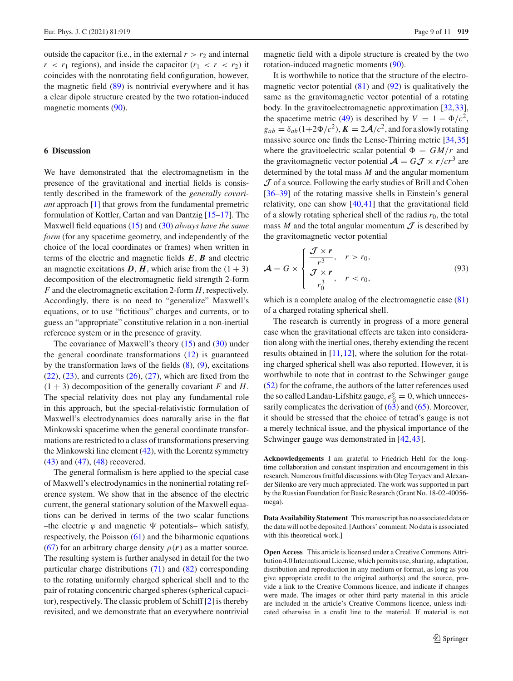outside the capacitor (i.e., in the external  $r > r_2$  and internal  $r < r_1$  regions), and inside the capacitor  $(r_1 < r < r_2)$  it coincides with the nonrotating field configuration, however, the magnetic field [\(89\)](#page-7-4) is nontrivial everywhere and it has a clear dipole structure created by the two rotation-induced magnetic moments [\(90\)](#page-7-5).

## <span id="page-8-0"></span>**6 Discussion**

We have demonstrated that the electromagnetism in the presence of the gravitational and inertial fields is consistently described in the framework of the *generally covariant* approach [\[1](#page-9-0)] that grows from the fundamental premetric formulation of Kottler, Cartan and van Dantzig [\[15](#page-9-6)[–17\]](#page-9-7). The Maxwell field equations [\(15\)](#page-2-6) and [\(30\)](#page-3-1) *always have the same form* (for any spacetime geometry, and independently of the choice of the local coordinates or frames) when written in terms of the electric and magnetic fields *E*, *B* and electric an magnetic excitations  $D$ ,  $H$ , which arise from the  $(1 + 3)$ decomposition of the electromagnetic field strength 2-form *F* and the electromagnetic excitation 2-form *H*, respectively. Accordingly, there is no need to "generalize" Maxwell's equations, or to use "fictitious" charges and currents, or to guess an "appropriate" constitutive relation in a non-inertial reference system or in the presence of gravity.

The covariance of Maxwell's theory [\(15\)](#page-2-6) and [\(30\)](#page-3-1) under the general coordinate transformations  $(12)$  is guaranteed by the transformation laws of the fields [\(8\)](#page-2-8), [\(9\)](#page-2-8), excitations  $(22)$ ,  $(23)$ , and currents  $(26)$ ,  $(27)$ , which are fixed from the  $(1 + 3)$  decomposition of the generally covariant *F* and *H*. The special relativity does not play any fundamental role in this approach, but the special-relativistic formulation of Maxwell's electrodynamics does naturally arise in the flat Minkowski spacetime when the general coordinate transformations are restricted to a class of transformations preserving the Minkowski line element  $(42)$ , with the Lorentz symmetry [\(43\)](#page-4-1) and [\(47\)](#page-4-6), [\(48\)](#page-4-6) recovered.

The general formalism is here applied to the special case of Maxwell's electrodynamics in the noninertial rotating reference system. We show that in the absence of the electric current, the general stationary solution of the Maxwell equations can be derived in terms of the two scalar functions –the electric  $\varphi$  and magnetic  $\Psi$  potentials– which satisfy, respectively, the Poisson [\(61\)](#page-5-8) and the biharmonic equations [\(67\)](#page-5-9) for an arbitrary charge density  $\rho(r)$  as a matter source. The resulting system is further analysed in detail for the two particular charge distributions [\(71\)](#page-6-0) and [\(82\)](#page-7-0) corresponding to the rotating uniformly charged spherical shell and to the pair of rotating concentric charged spheres (spherical capacitor), respectively. The classic problem of Schiff [\[2\]](#page-9-1) is thereby revisited, and we demonstrate that an everywhere nontrivial

magnetic field with a dipole structure is created by the two rotation-induced magnetic moments [\(90\)](#page-7-5).

It is worthwhile to notice that the structure of the electromagnetic vector potential  $(81)$  and  $(92)$  is qualitatively the same as the gravitomagnetic vector potential of a rotating body. In the gravitoelectromagnetic approximation [\[32](#page-10-7)[,33](#page-10-8)], the spacetime metric [\(49\)](#page-4-2) is described by  $V = 1 - \Phi/c^2$ ,  $g_{ab} = \delta_{ab} (1 + 2\Phi/c^2)$ ,  $K = 2\mathcal{A}/c^2$ , and for a slowly rotating massive source one finds the Lense-Thirring metric [\[34,](#page-10-9)[35\]](#page-10-10) where the gravitoelectric scalar potential  $\Phi = GM/r$  and the gravitomagnetic vector potential  $\mathcal{A} = G \mathcal{J} \times r/cr^3$  are determined by the total mass *M* and the angular momentum *J* of a source. Following the early studies of Brill and Cohen [\[36](#page-10-11)[–39](#page-10-12)] of the rotating massive shells in Einstein's general relativity, one can show [\[40](#page-10-13),[41\]](#page-10-14) that the gravitational field of a slowly rotating spherical shell of the radius  $r_0$ , the total mass  $M$  and the total angular momentum  $J$  is described by the gravitomagnetic vector potential

$$
\mathcal{A} = G \times \begin{cases} \frac{\mathcal{J} \times r}{r^3}, & r > r_0, \\ \frac{\mathcal{J} \times r}{r_0^3}, & r < r_0, \end{cases}
$$
(93)

which is a complete analog of the electromagnetic case [\(81\)](#page-7-3) of a charged rotating spherical shell.

The research is currently in progress of a more general case when the gravitational effects are taken into consideration along with the inertial ones, thereby extending the recent results obtained in  $[11, 12]$  $[11, 12]$  $[11, 12]$ , where the solution for the rotating charged spherical shell was also reported. However, it is worthwhile to note that in contrast to the Schwinger gauge [\(52\)](#page-4-4) for the coframe, the authors of the latter references used the so called Landau-Lifshitz gauge,  $e^a_{\overline{0}} = 0$ , which unneces-<br>sarily complicates the derivation of (63) and (65). Moreover sarily complicates the derivation of  $(63)$  and  $(65)$ . Moreover, it should be stressed that the choice of tetrad's gauge is not a merely technical issue, and the physical importance of the Schwinger gauge was demonstrated in  $[42, 43]$  $[42, 43]$ .

**Acknowledgements** I am grateful to Friedrich Hehl for the longtime collaboration and constant inspiration and encouragement in this research. Numerous fruitful discussions with Oleg Teryaev and Alexander Silenko are very much appreciated. The work was supported in part by the Russian Foundation for Basic Research (Grant No. 18-02-40056 mega).

**Data Availability Statement** This manuscript has no associated data or the data will not be deposited. [Authors' comment: No data is associated with this theoretical work.]

**Open Access** This article is licensed under a Creative Commons Attribution 4.0 International License, which permits use, sharing, adaptation, distribution and reproduction in any medium or format, as long as you give appropriate credit to the original author(s) and the source, provide a link to the Creative Commons licence, and indicate if changes were made. The images or other third party material in this article are included in the article's Creative Commons licence, unless indicated otherwise in a credit line to the material. If material is not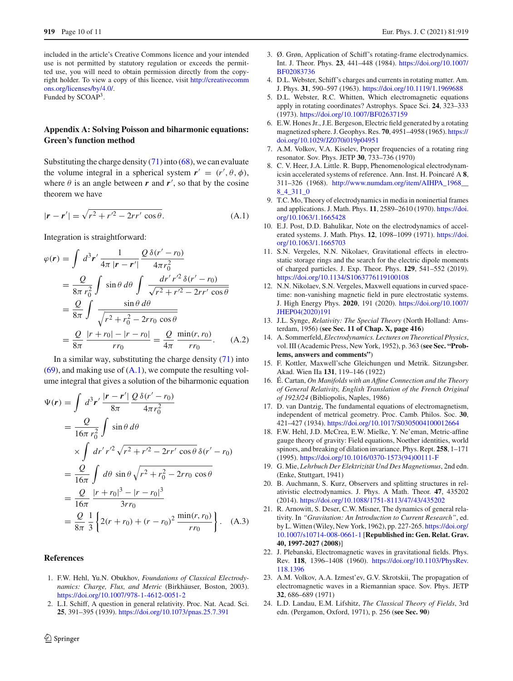included in the article's Creative Commons licence and your intended use is not permitted by statutory regulation or exceeds the permitted use, you will need to obtain permission directly from the copyright holder. To view a copy of this licence, visit [http://creativecomm](http://creativecommons.org/licenses/by/4.0/) [ons.org/licenses/by/4.0/.](http://creativecommons.org/licenses/by/4.0/)

Funded by SCOAP3.

## **Appendix A: Solving Poisson and biharmonic equations: Green's function method**

<span id="page-9-16"></span>Substituting the charge density  $(71)$  into  $(68)$ , we can evaluate the volume integral in a spherical system  $r' = (r', \theta, \phi)$ , where  $\theta$  is an angle between  $\boldsymbol{r}$  and  $\boldsymbol{r}'$ , so that by the cosine theorem we have

$$
|\mathbf{r} - \mathbf{r}'| = \sqrt{r^2 + r'^2 - 2rr' \cos \theta}.
$$
 (A.1)

Integration is straightforward:

<span id="page-9-13"></span>
$$
\varphi(r) = \int d^3 r' \frac{1}{4\pi |r - r'|} \frac{Q \delta(r' - r_0)}{4\pi r_0^2}
$$
  
=  $\frac{Q}{8\pi r_0^2} \int \sin \theta \, d\theta \int \frac{dr' r'^2 \delta(r' - r_0)}{\sqrt{r^2 + r'^2 - 2rr' \cos \theta}}$   
=  $\frac{Q}{8\pi} \int \frac{\sin \theta \, d\theta}{\sqrt{r^2 + r_0^2 - 2rr_0 \cos \theta}}$   
=  $\frac{Q}{8\pi} \frac{|r + r_0| - |r - r_0|}{rr_0} = \frac{Q}{4\pi} \frac{\min(r, r_0)}{rr_0}$ . (A.2)

In a similar way, substituting the charge density  $(71)$  into  $(69)$ , and making use of  $(A.1)$ , we compute the resulting volume integral that gives a solution of the biharmonic equation

<span id="page-9-14"></span>
$$
\Psi(r) = \int d^3 r' \frac{|r - r'|}{8\pi} \frac{Q \delta(r' - r_0)}{4\pi r_0^2}
$$
  
\n
$$
= \frac{Q}{16\pi r_0^2} \int \sin \theta \, d\theta
$$
  
\n
$$
\times \int dr' r'^2 \sqrt{r^2 + r'^2 - 2rr' \cos \theta} \, \delta(r' - r_0)
$$
  
\n
$$
= \frac{Q}{16\pi} \int d\theta \sin \theta \sqrt{r^2 + r_0^2 - 2rr_0 \cos \theta}
$$
  
\n
$$
= \frac{Q}{16\pi} \frac{|r + r_0|^3 - |r - r_0|^3}{3rr_0}
$$
  
\n
$$
= \frac{Q}{8\pi} \frac{1}{3} \left\{ 2(r + r_0) + (r - r_0)^2 \frac{\min(r, r_0)}{rr_0} \right\}.
$$
 (A.3)

## **References**

- <span id="page-9-0"></span>1. F.W. Hehl, Yu.N. Obukhov, *Foundations of Classical Electrodynamics: Charge, Flux, and Metric* (Birkhäuser, Boston, 2003). <https://doi.org/10.1007/978-1-4612-0051-2>
- <span id="page-9-1"></span>2. L.I. Schiff, A question in general relativity. Proc. Nat. Acad. Sci. **25**, 391–395 (1939). <https://doi.org/10.1073/pnas.25.7.391>
- 3. Ø. Grøn, Application of Schiff's rotating-frame electrodynamics. Int. J. Theor. Phys. **23**, 441–448 (1984). [https://doi.org/10.1007/](https://doi.org/10.1007/BF02083736) [BF02083736](https://doi.org/10.1007/BF02083736)
- 4. D.L. Webster, Schiff's charges and currents in rotating matter. Am. J. Phys. **31**, 590–597 (1963). <https://doi.org/10.1119/1.1969688>
- <span id="page-9-5"></span>5. D.L. Webster, R.C. Whitten, Which electromagnetic equations apply in rotating coordinates? Astrophys. Space Sci. **24**, 323–333 (1973). <https://doi.org/10.1007/BF02637159>
- 6. E.W. Hones Jr., J.E. Bergeson, Electric field generated by a rotating magnetized sphere. J. Geophys. Res. **70**, 4951–4958 (1965). [https://](https://doi.org/10.1029/JZ070i019p04951) [doi.org/10.1029/JZ070i019p04951](https://doi.org/10.1029/JZ070i019p04951)
- 7. A.M. Volkov, V.A. Kiselev, Proper frequencies of a rotating ring resonator. Sov. Phys. JETP **30**, 733–736 (1970)
- 8. C. V. Heer, J.A. Little. R. Bupp, Phenomenological electrodynamicsin accelerated systems of reference. Ann. Inst. H. Poincaré A **8**, 311–326 (1968). [http://www.numdam.org/item/AIHPA\\_1968\\_\\_](http://www.numdam.org/item/AIHPA_1968__8_4_311_0) [8\\_4\\_311\\_0](http://www.numdam.org/item/AIHPA_1968__8_4_311_0)
- 9. T.C. Mo, Theory of electrodynamics in media in noninertial frames and applications. J. Math. Phys. **11**, 2589–2610 (1970). [https://doi.](https://doi.org/10.1063/1.1665428) [org/10.1063/1.1665428](https://doi.org/10.1063/1.1665428)
- 10. E.J. Post, D.D. Bahulikar, Note on the electrodynamics of accelerated systems. J. Math. Phys. **12**, 1098–1099 (1971). [https://doi.](https://doi.org/10.1063/1.1665703) [org/10.1063/1.1665703](https://doi.org/10.1063/1.1665703)
- <span id="page-9-15"></span>11. S.N. Vergeles, N.N. Nikolaev, Gravitational effects in electrostatic storage rings and the search for the electric dipole moments of charged particles. J. Exp. Theor. Phys. **129**, 541–552 (2019). <https://doi.org/10.1134/S1063776119100108>
- <span id="page-9-2"></span>12. N.N. Nikolaev, S.N. Vergeles, Maxwell equations in curved spacetime: non-vanishing magnetic field in pure electrostatic systems. J. High Energy Phys. **2020**, 191 (2020). [https://doi.org/10.1007/](https://doi.org/10.1007/JHEP04(2020)191) [JHEP04\(2020\)191](https://doi.org/10.1007/JHEP04(2020)191)
- <span id="page-9-3"></span>13. J.L. Synge, *Relativity: The Special Theory* (North Holland: Amsterdam, 1956) (**see Sec. 11 of Chap. X, page 416**)
- <span id="page-9-4"></span>14. A. Sommerfeld, *Electrodynamics. Lectures on Theoretical Physics*, vol. III (Academic Press, New York, 1952), p. 363 (**see Sec. "Problems, answers and comments"**)
- <span id="page-9-6"></span>15. F. Kottler, Maxwell'sche Gleichungen und Metrik. Sitzungsber. Akad. Wien IIa **131**, 119–146 (1922)
- 16. É. Cartan, *On Manifolds with an Affine Connection and the Theory of General Relativity, English Translation of the French Original of 1923/24* (Bibliopolis, Naples, 1986)
- <span id="page-9-7"></span>17. D. van Dantzig, The fundamental equations of electromagnetism, independent of metrical geometry. Proc. Camb. Philos. Soc. **30**, 421–427 (1934). <https://doi.org/10.1017/S0305004100012664>
- <span id="page-9-9"></span>18. F.W. Hehl, J.D. McCrea, E.W. Mielke, Y. Ne'eman, Metric-affine gauge theory of gravity: Field equations, Noether identities, world spinors, and breaking of dilation invariance. Phys. Rept. **258**, 1–171 (1995). [https://doi.org/10.1016/0370-1573\(94\)00111-F](https://doi.org/10.1016/0370-1573(94)00111-F)
- <span id="page-9-8"></span>19. G. Mie, *Lehrbuch Der Elektrizität Und Des Magnetismus*, 2nd edn. (Enke, Stuttgart, 1941)
- <span id="page-9-10"></span>20. B. Auchmann, S. Kurz, Observers and splitting structures in relativistic electrodynamics. J. Phys. A Math. Theor. **47**, 435202 (2014). <https://doi.org/10.1088/1751-8113/47/43/435202>
- <span id="page-9-11"></span>21. R. Arnowitt, S. Deser, C.W. Misner, The dynamics of general relativity. In *"Gravitation: An Introduction to Current Research"*, ed. by L. Witten (Wiley, New York, 1962), pp. 227-265. [https://doi.org/](https://doi.org/10.1007/s10714-008-0661-1) [10.1007/s10714-008-0661-1](https://doi.org/10.1007/s10714-008-0661-1) [**Republished in: Gen. Relat. Grav. 40, 1997-2027 (2008)**]
- <span id="page-9-12"></span>22. J. Plebanski, Electromagnetic waves in gravitational fields. Phys. Rev. **118**, 1396–1408 (1960). [https://doi.org/10.1103/PhysRev.](https://doi.org/10.1103/PhysRev.118.1396) [118.1396](https://doi.org/10.1103/PhysRev.118.1396)
- 23. A.M. Volkov, A.A. Izmest'ev, G.V. Skrotskii, The propagation of electromagnetic waves in a Riemannian space. Sov. Phys. JETP **32**, 686–689 (1971)
- 24. L.D. Landau, E.M. Lifshitz, *The Classical Theory of Fields*, 3rd edn. (Pergamon, Oxford, 1971), p. 256 (**see Sec. 90**)